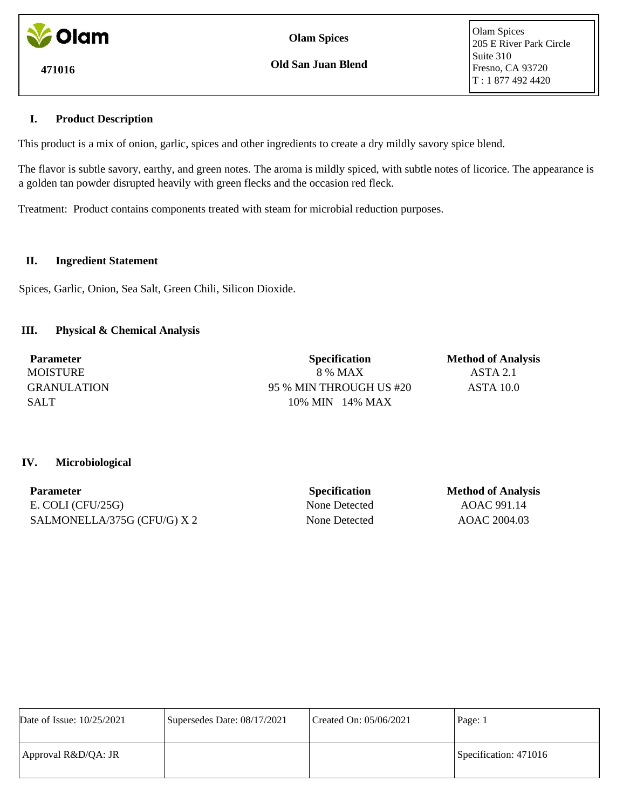

**Olam Spices**

**Old San Juan Blend**

Olam Spices 205 E River Park Circle Suite 310 Fresno, CA 93720 T : 1 877 492 4420

## **I. Product Description**

This product is a mix of onion, garlic, spices and other ingredients to create a dry mildly savory spice blend.

The flavor is subtle savory, earthy, and green notes. The aroma is mildly spiced, with subtle notes of licorice. The appearance is a golden tan powder disrupted heavily with green flecks and the occasion red fleck.

Treatment: Product contains components treated with steam for microbial reduction purposes.

## **II. Ingredient Statement**

Spices, Garlic, Onion, Sea Salt, Green Chili, Silicon Dioxide.

# **III. Physical & Chemical Analysis**

| <b>Parameter</b>   | <b>Specification</b>    | <b>Method of Analysis</b> |
|--------------------|-------------------------|---------------------------|
| <b>MOISTURE</b>    | 8 % MAX                 | ASTA 2.1                  |
| <b>GRANULATION</b> | 95 % MIN THROUGH US #20 | ASTA 10.0                 |
| <b>SALT</b>        | $10\%$ MIN $14\%$ MAX   |                           |

## **IV. Microbiological**

| <b>Parameter</b>            | <b>Specification</b> | <b>Method of Analysis</b> |
|-----------------------------|----------------------|---------------------------|
| E. COLI (CFU/25G)           | None Detected        | AOAC 991.14               |
| SALMONELLA/375G (CFU/G) X 2 | None Detected        | AOAC 2004.03              |

| Date of Issue: 10/25/2021 | Supersedes Date: 08/17/2021 | Created On: 05/06/2021 | Page: 1               |
|---------------------------|-----------------------------|------------------------|-----------------------|
| Approval R&D/QA: JR       |                             |                        | Specification: 471016 |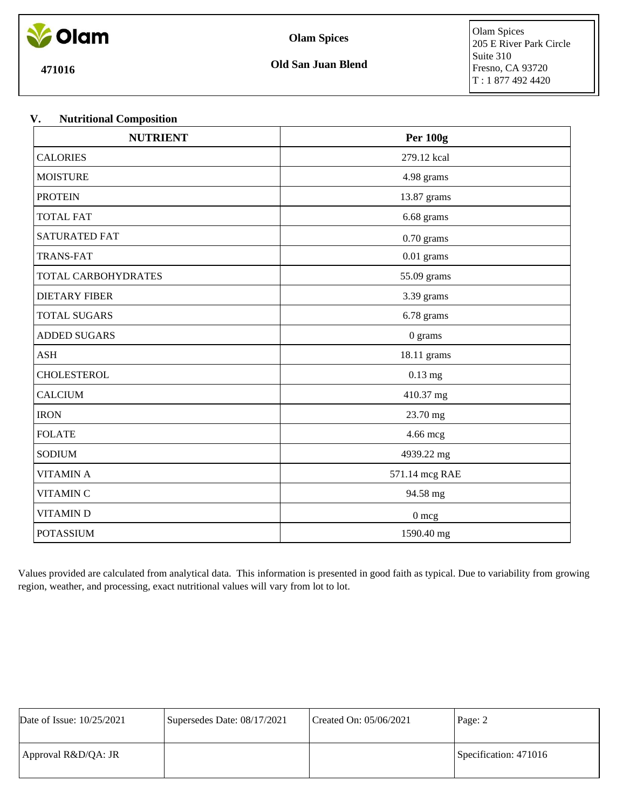

**Olam Spices**

**471016**

## **V. Nutritional Composition**

| <b>NUTRIENT</b>      | <b>Per 100g</b> |  |
|----------------------|-----------------|--|
| <b>CALORIES</b>      | 279.12 kcal     |  |
| <b>MOISTURE</b>      | 4.98 grams      |  |
| <b>PROTEIN</b>       | 13.87 grams     |  |
| <b>TOTAL FAT</b>     | 6.68 grams      |  |
| <b>SATURATED FAT</b> | $0.70$ grams    |  |
| <b>TRANS-FAT</b>     | $0.01$ grams    |  |
| TOTAL CARBOHYDRATES  | 55.09 grams     |  |
| <b>DIETARY FIBER</b> | 3.39 grams      |  |
| <b>TOTAL SUGARS</b>  | 6.78 grams      |  |
| <b>ADDED SUGARS</b>  | $0$ grams       |  |
| <b>ASH</b>           | 18.11 grams     |  |
| <b>CHOLESTEROL</b>   | $0.13$ mg       |  |
| <b>CALCIUM</b>       | 410.37 mg       |  |
| <b>IRON</b>          | 23.70 mg        |  |
| <b>FOLATE</b>        | 4.66 mcg        |  |
| <b>SODIUM</b>        | 4939.22 mg      |  |
| <b>VITAMIN A</b>     | 571.14 mcg RAE  |  |
| <b>VITAMIN C</b>     | 94.58 mg        |  |
| <b>VITAMIND</b>      | $0 \text{ mcg}$ |  |
| <b>POTASSIUM</b>     | 1590.40 mg      |  |

Values provided are calculated from analytical data. This information is presented in good faith as typical. Due to variability from growing region, weather, and processing, exact nutritional values will vary from lot to lot.

| Date of Issue: 10/25/2021 | Supersedes Date: 08/17/2021 | Created On: $05/06/2021$ | Page: 2               |
|---------------------------|-----------------------------|--------------------------|-----------------------|
| Approval R&D/QA: JR       |                             |                          | Specification: 471016 |